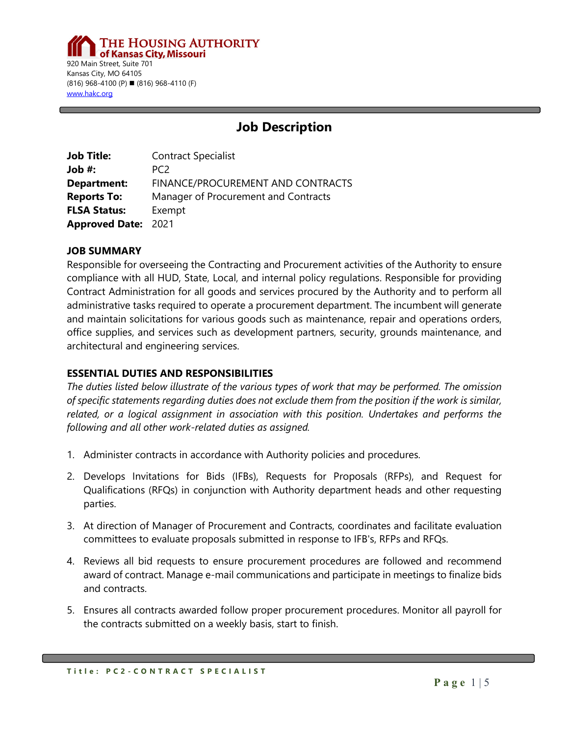**THE HOUSING AUTHORITY** of Kansas City, Missouri 920 Main Street, Suite 701 Kansas City, MO 64105  $(816)$  968-4100 (P) (816) 968-4110 (F) [www.hakc.org](http://www.hakc.org/)

# **Job Description**

| <b>Job Title:</b>          | <b>Contract Specialist</b>           |
|----------------------------|--------------------------------------|
| Job #:                     | PC <sub>2</sub>                      |
| <b>Department:</b>         | FINANCE/PROCUREMENT AND CONTRACTS    |
| <b>Reports To:</b>         | Manager of Procurement and Contracts |
| <b>FLSA Status:</b>        | Exempt                               |
| <b>Approved Date: 2021</b> |                                      |

### **JOB SUMMARY**

Responsible for overseeing the Contracting and Procurement activities of the Authority to ensure compliance with all HUD, State, Local, and internal policy regulations. Responsible for providing Contract Administration for all goods and services procured by the Authority and to perform all administrative tasks required to operate a procurement department. The incumbent will generate and maintain solicitations for various goods such as maintenance, repair and operations orders, office supplies, and services such as development partners, security, grounds maintenance, and architectural and engineering services.

### **ESSENTIAL DUTIES AND RESPONSIBILITIES**

*The duties listed below illustrate of the various types of work that may be performed. The omission of specific statements regarding duties does not exclude them from the position if the work is similar, related, or a logical assignment in association with this position. Undertakes and performs the following and all other work-related duties as assigned.*

- 1. Administer contracts in accordance with Authority policies and procedures.
- 2. Develops Invitations for Bids (IFBs), Requests for Proposals (RFPs), and Request for Qualifications (RFQs) in conjunction with Authority department heads and other requesting parties.
- 3. At direction of Manager of Procurement and Contracts, coordinates and facilitate evaluation committees to evaluate proposals submitted in response to IFB's, RFPs and RFQs.
- 4. Reviews all bid requests to ensure procurement procedures are followed and recommend award of contract. Manage e-mail communications and participate in meetings to finalize bids and contracts.
- 5. Ensures all contracts awarded follow proper procurement procedures. Monitor all payroll for the contracts submitted on a weekly basis, start to finish.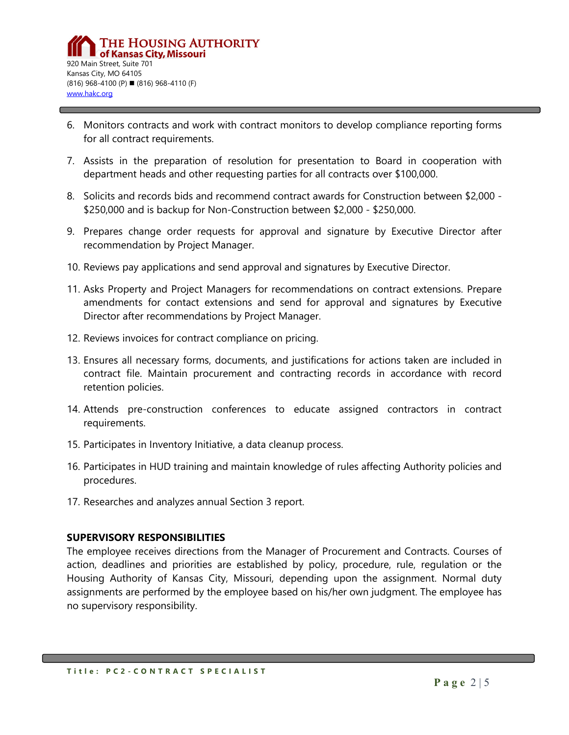- 6. Monitors contracts and work with contract monitors to develop compliance reporting forms for all contract requirements.
- 7. Assists in the preparation of resolution for presentation to Board in cooperation with department heads and other requesting parties for all contracts over \$100,000.
- 8. Solicits and records bids and recommend contract awards for Construction between \$2,000 \$250,000 and is backup for Non-Construction between \$2,000 - \$250,000.
- 9. Prepares change order requests for approval and signature by Executive Director after recommendation by Project Manager.
- 10. Reviews pay applications and send approval and signatures by Executive Director.
- 11. Asks Property and Project Managers for recommendations on contract extensions. Prepare amendments for contact extensions and send for approval and signatures by Executive Director after recommendations by Project Manager.
- 12. Reviews invoices for contract compliance on pricing.
- 13. Ensures all necessary forms, documents, and justifications for actions taken are included in contract file. Maintain procurement and contracting records in accordance with record retention policies.
- 14. Attends pre-construction conferences to educate assigned contractors in contract requirements.
- 15. Participates in Inventory Initiative, a data cleanup process.
- 16. Participates in HUD training and maintain knowledge of rules affecting Authority policies and procedures.
- 17. Researches and analyzes annual Section 3 report.

### **SUPERVISORY RESPONSIBILITIES**

The employee receives directions from the Manager of Procurement and Contracts. Courses of action, deadlines and priorities are established by policy, procedure, rule, regulation or the Housing Authority of Kansas City, Missouri, depending upon the assignment. Normal duty assignments are performed by the employee based on his/her own judgment. The employee has no supervisory responsibility.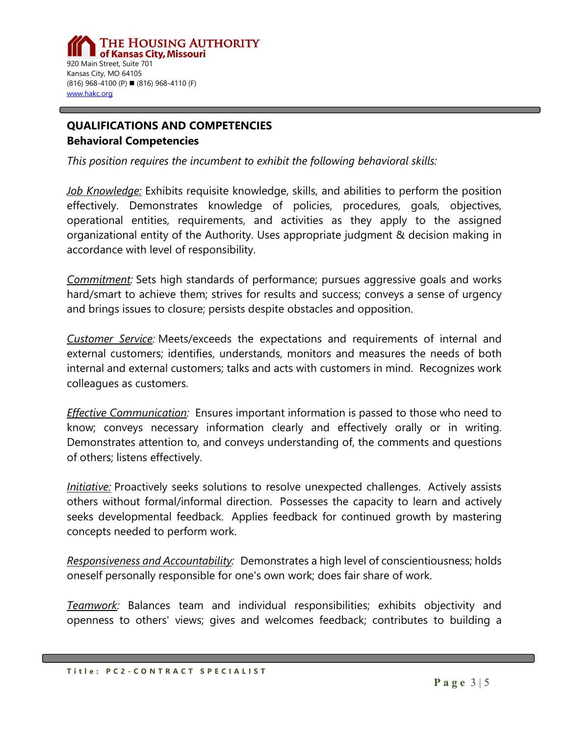# **QUALIFICATIONS AND COMPETENCIES Behavioral Competencies**

*This position requires the incumbent to exhibit the following behavioral skills:*

*Job Knowledge:* Exhibits requisite knowledge, skills, and abilities to perform the position effectively. Demonstrates knowledge of policies, procedures, goals, objectives, operational entities, requirements, and activities as they apply to the assigned organizational entity of the Authority. Uses appropriate judgment & decision making in accordance with level of responsibility.

*Commitment:* Sets high standards of performance; pursues aggressive goals and works hard/smart to achieve them; strives for results and success; conveys a sense of urgency and brings issues to closure; persists despite obstacles and opposition.

*Customer Service:* Meets/exceeds the expectations and requirements of internal and external customers; identifies, understands, monitors and measures the needs of both internal and external customers; talks and acts with customers in mind. Recognizes work colleagues as customers.

*Effective Communication:* Ensures important information is passed to those who need to know; conveys necessary information clearly and effectively orally or in writing. Demonstrates attention to, and conveys understanding of, the comments and questions of others; listens effectively.

*Initiative:* Proactively seeks solutions to resolve unexpected challenges. Actively assists others without formal/informal direction. Possesses the capacity to learn and actively seeks developmental feedback. Applies feedback for continued growth by mastering concepts needed to perform work.

*Responsiveness and Accountability:* Demonstrates a high level of conscientiousness; holds oneself personally responsible for one's own work; does fair share of work.

*Teamwork:* Balances team and individual responsibilities; exhibits objectivity and openness to others' views; gives and welcomes feedback; contributes to building a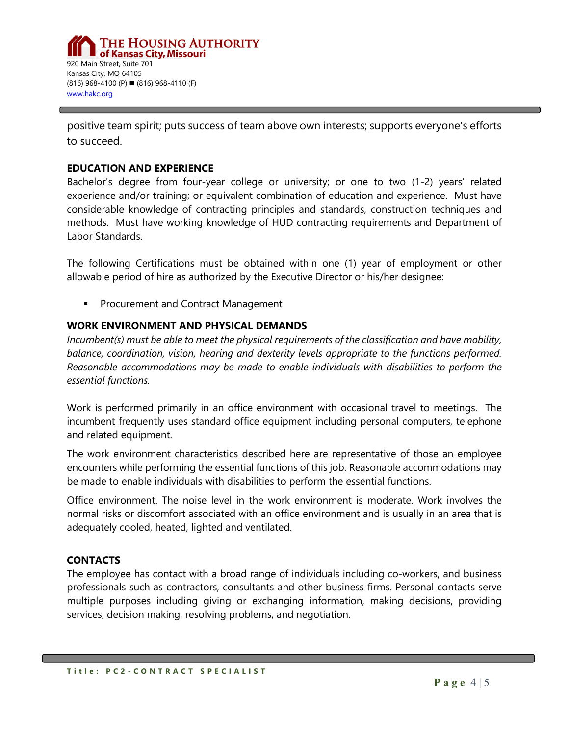positive team spirit; puts success of team above own interests; supports everyone's efforts to succeed.

### **EDUCATION AND EXPERIENCE**

Bachelor's degree from four-year college or university; or one to two (1-2) years' related experience and/or training; or equivalent combination of education and experience. Must have considerable knowledge of contracting principles and standards, construction techniques and methods. Must have working knowledge of HUD contracting requirements and Department of Labor Standards.

The following Certifications must be obtained within one (1) year of employment or other allowable period of hire as authorized by the Executive Director or his/her designee:

**Procurement and Contract Management** 

### **WORK ENVIRONMENT AND PHYSICAL DEMANDS**

*Incumbent(s) must be able to meet the physical requirements of the classification and have mobility, balance, coordination, vision, hearing and dexterity levels appropriate to the functions performed. Reasonable accommodations may be made to enable individuals with disabilities to perform the essential functions.*

Work is performed primarily in an office environment with occasional travel to meetings. The incumbent frequently uses standard office equipment including personal computers, telephone and related equipment.

The work environment characteristics described here are representative of those an employee encounters while performing the essential functions of this job. Reasonable accommodations may be made to enable individuals with disabilities to perform the essential functions.

Office environment. The noise level in the work environment is moderate. Work involves the normal risks or discomfort associated with an office environment and is usually in an area that is adequately cooled, heated, lighted and ventilated.

### **CONTACTS**

The employee has contact with a broad range of individuals including co-workers, and business professionals such as contractors, consultants and other business firms. Personal contacts serve multiple purposes including giving or exchanging information, making decisions, providing services, decision making, resolving problems, and negotiation.